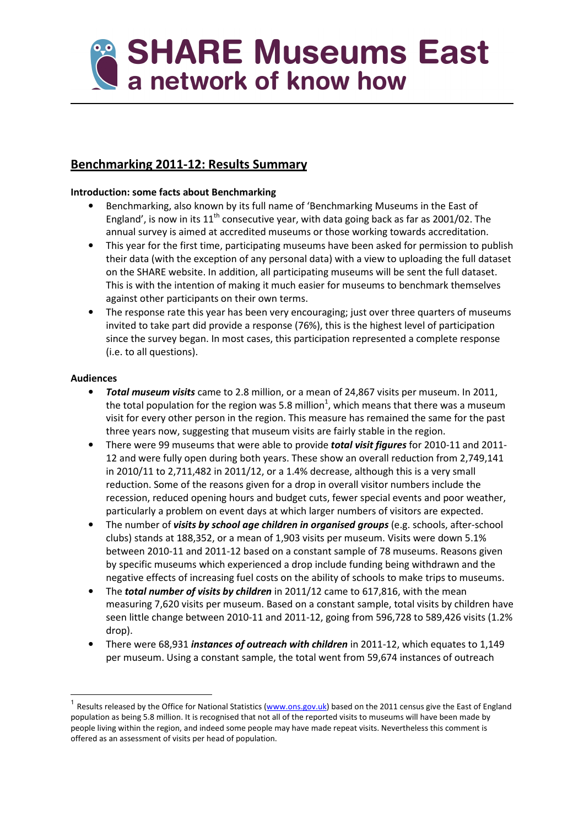

# Benchmarking 2011-12: Results Summary

## Introduction: some facts about Benchmarking

- Benchmarking, also known by its full name of 'Benchmarking Museums in the East of England', is now in its  $11<sup>th</sup>$  consecutive year, with data going back as far as 2001/02. The annual survey is aimed at accredited museums or those working towards accreditation.
- This year for the first time, participating museums have been asked for permission to publish their data (with the exception of any personal data) with a view to uploading the full dataset on the SHARE website. In addition, all participating museums will be sent the full dataset. This is with the intention of making it much easier for museums to benchmark themselves against other participants on their own terms.
- The response rate this year has been very encouraging; just over three quarters of museums invited to take part did provide a response (76%), this is the highest level of participation since the survey began. In most cases, this participation represented a complete response (i.e. to all questions).

## Audiences

l

- Total museum visits came to 2.8 million, or a mean of 24,867 visits per museum. In 2011, the total population for the region was 5.8 million<sup>1</sup>, which means that there was a museum visit for every other person in the region. This measure has remained the same for the past three years now, suggesting that museum visits are fairly stable in the region.
- There were 99 museums that were able to provide *total visit figures* for 2010-11 and 2011-12 and were fully open during both years. These show an overall reduction from 2,749,141 in 2010/11 to 2,711,482 in 2011/12, or a 1.4% decrease, although this is a very small reduction. Some of the reasons given for a drop in overall visitor numbers include the recession, reduced opening hours and budget cuts, fewer special events and poor weather, particularly a problem on event days at which larger numbers of visitors are expected.
- The number of *visits by school age children in organised groups* (e.g. schools, after-school clubs) stands at 188,352, or a mean of 1,903 visits per museum. Visits were down 5.1% between 2010-11 and 2011-12 based on a constant sample of 78 museums. Reasons given by specific museums which experienced a drop include funding being withdrawn and the negative effects of increasing fuel costs on the ability of schools to make trips to museums.
- The **total number of visits by children** in 2011/12 came to 617,816, with the mean measuring 7,620 visits per museum. Based on a constant sample, total visits by children have seen little change between 2010-11 and 2011-12, going from 596,728 to 589,426 visits (1.2% drop).
- There were 68,931 instances of outreach with children in 2011-12, which equates to 1,149 per museum. Using a constant sample, the total went from 59,674 instances of outreach

<sup>&</sup>lt;sup>1</sup> Results released by the Office for National Statistics (www.ons.gov.uk) based on the 2011 census give the East of England population as being 5.8 million. It is recognised that not all of the reported visits to museums will have been made by people living within the region, and indeed some people may have made repeat visits. Nevertheless this comment is offered as an assessment of visits per head of population.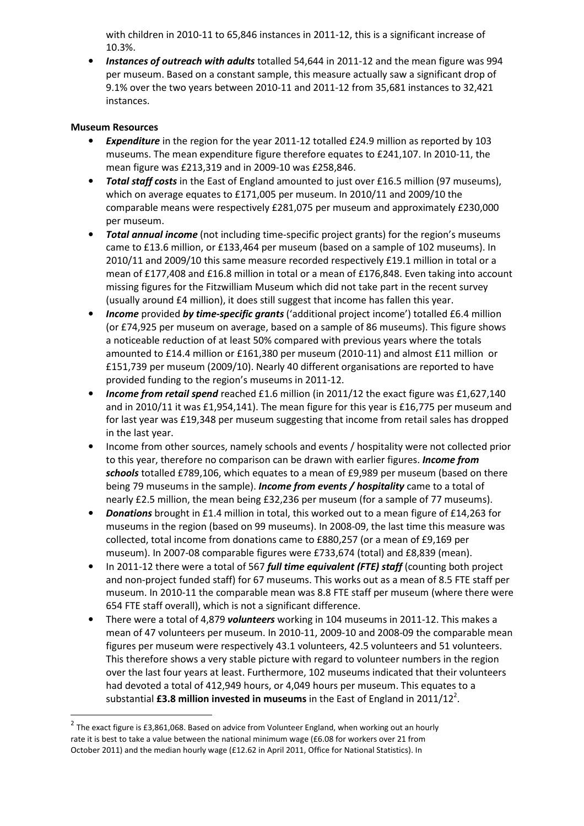with children in 2010-11 to 65,846 instances in 2011-12, this is a significant increase of 10.3%.

• Instances of outreach with adults totalled 54,644 in 2011-12 and the mean figure was 994 per museum. Based on a constant sample, this measure actually saw a significant drop of 9.1% over the two years between 2010-11 and 2011-12 from 35,681 instances to 32,421 instances.

### Museum Resources

 $\overline{\phantom{0}}$ 

- **Expenditure** in the region for the year 2011-12 totalled £24.9 million as reported by 103 museums. The mean expenditure figure therefore equates to £241,107. In 2010-11, the mean figure was £213,319 and in 2009-10 was £258,846.
- Total staff costs in the East of England amounted to just over £16.5 million (97 museums), which on average equates to £171,005 per museum. In 2010/11 and 2009/10 the comparable means were respectively £281,075 per museum and approximately £230,000 per museum.
- **Total annual income** (not including time-specific project grants) for the region's museums came to £13.6 million, or £133,464 per museum (based on a sample of 102 museums). In 2010/11 and 2009/10 this same measure recorded respectively £19.1 million in total or a mean of £177,408 and £16.8 million in total or a mean of £176,848. Even taking into account missing figures for the Fitzwilliam Museum which did not take part in the recent survey (usually around £4 million), it does still suggest that income has fallen this year.
- Income provided by time-specific grants ('additional project income') totalled £6.4 million (or £74,925 per museum on average, based on a sample of 86 museums). This figure shows a noticeable reduction of at least 50% compared with previous years where the totals amounted to £14.4 million or £161,380 per museum (2010-11) and almost £11 million or £151,739 per museum (2009/10). Nearly 40 different organisations are reported to have provided funding to the region's museums in 2011-12.
- **Income from retail spend** reached £1.6 million (in 2011/12 the exact figure was £1,627,140 and in 2010/11 it was £1,954,141). The mean figure for this year is £16,775 per museum and for last year was £19,348 per museum suggesting that income from retail sales has dropped in the last year.
- Income from other sources, namely schools and events / hospitality were not collected prior to this year, therefore no comparison can be drawn with earlier figures. **Income from** schools totalled £789,106, which equates to a mean of £9,989 per museum (based on there being 79 museums in the sample). **Income from events / hospitality** came to a total of nearly £2.5 million, the mean being £32,236 per museum (for a sample of 77 museums).
- Donations brought in £1.4 million in total, this worked out to a mean figure of £14,263 for museums in the region (based on 99 museums). In 2008-09, the last time this measure was collected, total income from donations came to £880,257 (or a mean of £9,169 per museum). In 2007-08 comparable figures were £733,674 (total) and £8,839 (mean).
- In 2011-12 there were a total of 567 full time equivalent (FTE) staff (counting both project and non-project funded staff) for 67 museums. This works out as a mean of 8.5 FTE staff per museum. In 2010-11 the comparable mean was 8.8 FTE staff per museum (where there were 654 FTE staff overall), which is not a significant difference.
- There were a total of 4.879 *volunteers* working in 104 museums in 2011-12. This makes a mean of 47 volunteers per museum. In 2010-11, 2009-10 and 2008-09 the comparable mean figures per museum were respectively 43.1 volunteers, 42.5 volunteers and 51 volunteers. This therefore shows a very stable picture with regard to volunteer numbers in the region over the last four years at least. Furthermore, 102 museums indicated that their volunteers had devoted a total of 412,949 hours, or 4,049 hours per museum. This equates to a substantial £3.8 million invested in museums in the East of England in 2011/12<sup>2</sup>.

 $^2$  The exact figure is £3,861,068. Based on advice from Volunteer England, when working out an hourly rate it is best to take a value between the national minimum wage (£6.08 for workers over 21 from October 2011) and the median hourly wage (£12.62 in April 2011, Office for National Statistics). In